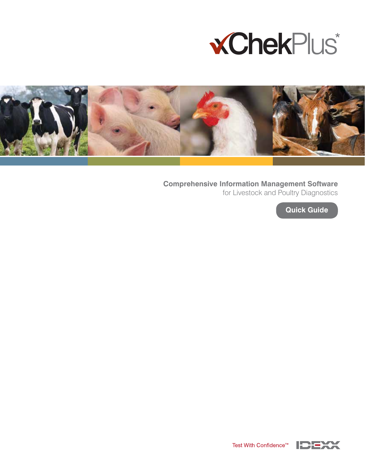



**Comprehensive Information Management Software**  for Livestock and Poultry Diagnostics

**Quick Guide**

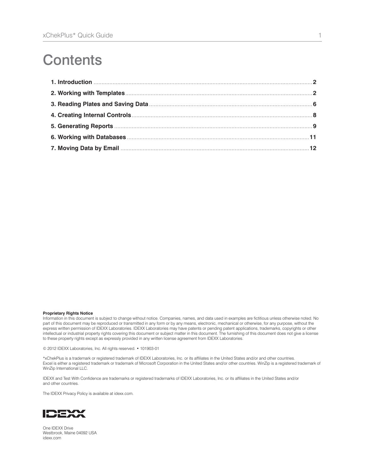# **Contents**

#### **Proprietary Rights Notice**

Information in this document is subject to change without notice. Companies, names, and data used in examples are fictitious unless otherwise noted. No part of this document may be reproduced or transmitted in any form or by any means, electronic, mechanical or otherwise, for any purpose, without the express written permission of IDEXX Laboratories. IDEXX Laboratories may have patents or pending patent applications, trademarks, copyrights or other intellectual or industrial property rights covering this document or subject matter in this document. The furnishing of this document does not give a license to these property rights except as expressly provided in any written license agreement from IDEXX Laboratories.

© 2012 IDEXX Laboratories, Inc. All rights reserved. • 101903-01

\*xChekPlus is a trademark or registered trademark of IDEXX Laboratories, Inc. or its affiliates in the United States and/or and other countries. Excel is either a registered trademark or trademark of Microsoft Corporation in the United States and/or other countries. WinZip is a registered trademark of WinZip International LLC.

IDEXX and Test With Confidence are trademarks or registered trademarks of IDEXX Laboratories, Inc. or its affiliates in the United States and/or and other countries.

The IDEXX Privacy Policy is available at idexx.com.



One IDEXX Drive Westbrook, Maine 04092 USA idexx.com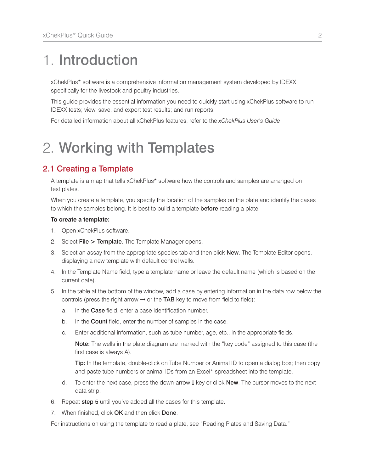# 1. Introduction

xChekPlus\* software is a comprehensive information management system developed by IDEXX specifically for the livestock and poultry industries.

This guide provides the essential information you need to quickly start using xChekPlus software to run IDEXX tests; view, save, and export test results; and run reports.

For detailed information about all xChekPlus features, refer to the *xChekPlus User's Guide*.

## 2. Working with Templates

### 2.1 Creating a Template

A template is a map that tells xChekPlus\* software how the controls and samples are arranged on test plates.

When you create a template, you specify the location of the samples on the plate and identify the cases to which the samples belong. It is best to build a template **before** reading a plate.

#### **To create a template:**

- 1. Open xChekPlus software.
- 2. Select File > Template. The Template Manager opens.
- 3. Select an assay from the appropriate species tab and then click **New**. The Template Editor opens, displaying a new template with default control wells.
- 4. In the Template Name field, type a template name or leave the default name (which is based on the current date).
- 5. In the table at the bottom of the window, add a case by entering information in the data row below the controls (press the right arrow  $\rightarrow$  or the TAB key to move from field to field):
	- a. In the Case field, enter a case identification number.
	- b. In the **Count** field, enter the number of samples in the case.
	- c. Enter additional information, such as tube number, age, etc., in the appropriate fields.

 Note: The wells in the plate diagram are marked with the "key code" assigned to this case (the first case is always A).

Tip: In the template, double-click on Tube Number or Animal ID to open a dialog box; then copy and paste tube numbers or animal IDs from an Excel\* spreadsheet into the template.

- d. To enter the next case, press the down-arrow  $\downarrow$  key or click **New**. The cursor moves to the next data strip.
- 6. Repeat step 5 until you've added all the cases for this template.
- 7. When finished, click OK and then click Done.

For instructions on using the template to read a plate, see "Reading Plates and Saving Data."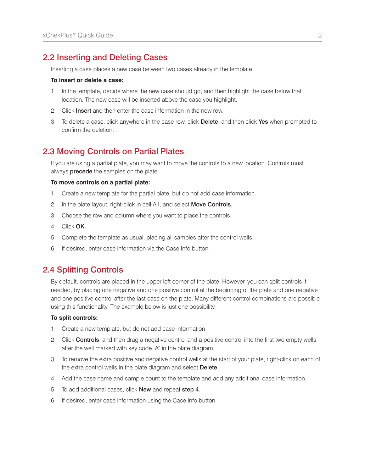### 2.2 Inserting and Deleting Cases

Inserting a case places a new case between two cases already in the template.

#### **To insert or delete a case:**

- 1. In the template, decide where the new case should go, and then highlight the case below that location. The new case will be inserted above the case you highlight.
- 2. Click **Insert** and then enter the case information in the new row.
- 3. To delete a case, click anywhere in the case row, click Delete, and then click Yes when prompted to confirm the deletion.

### 2.3 Moving Controls on Partial Plates

If you are using a partial plate, you may want to move the controls to a new location. Controls must always **precede** the samples on the plate.

#### **To move controls on a partial plate:**

- 1. Create a new template for the partial plate, but do not add case information.
- 2. In the plate layout, right-click in cell A1, and select **Move Controls**.
- 3. Choose the row and column where you want to place the controls.
- 4. Click OK.
- 5. Complete the template as usual, placing all samples after the control wells.
- 6. If desired, enter case information via the Case Info button.

## 2.4 Splitting Controls

By default, controls are placed in the upper left corner of the plate. However, you can split controls if needed, by placing one negative and one positive control at the beginning of the plate and one negative and one positive control after the last case on the plate. Many different control combinations are possible using this functionality. The example below is just one possibility.

#### **To split controls:**

- 1. Create a new template, but do not add case information.
- 2. Click **Controls**, and then drag a negative control and a positive control into the first two empty wells after the well marked with key code "A" in the plate diagram.
- 3. To remove the extra positive and negative control wells at the start of your plate, right-click on each of the extra control wells in the plate diagram and select Delete.
- 4. Add the case name and sample count to the template and add any additional case information.
- 5. To add additional cases, click New and repeat step 4.
- 6. If desired, enter case information using the Case Info button.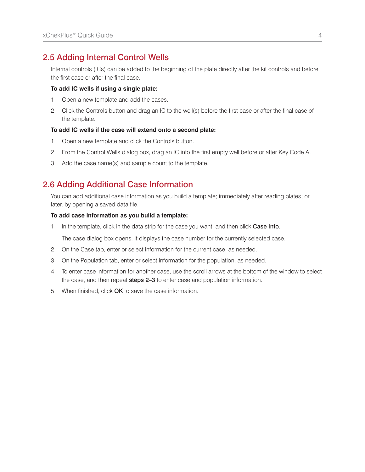### 2.5 Adding Internal Control Wells

Internal controls (ICs) can be added to the beginning of the plate directly after the kit controls and before the first case or after the final case.

#### **To add IC wells if using a single plate:**

- 1. Open a new template and add the cases.
- 2. Click the Controls button and drag an IC to the well(s) before the first case or after the final case of the template.

#### **To add IC wells if the case will extend onto a second plate:**

- 1. Open a new template and click the Controls button.
- 2. From the Control Wells dialog box, drag an IC into the first empty well before or after Key Code A.
- 3. Add the case name(s) and sample count to the template.

## 2.6 Adding Additional Case Information

You can add additional case information as you build a template; immediately after reading plates; or later, by opening a saved data file.

#### **To add case information as you build a template:**

1. In the template, click in the data strip for the case you want, and then click Case Info.

The case dialog box opens. It displays the case number for the currently selected case.

- 2. On the Case tab, enter or select information for the current case, as needed.
- 3. On the Population tab, enter or select information for the population, as needed.
- 4. To enter case information for another case, use the scroll arrows at the bottom of the window to select the case, and then repeat steps 2–3 to enter case and population information.
- 5. When finished, click OK to save the case information.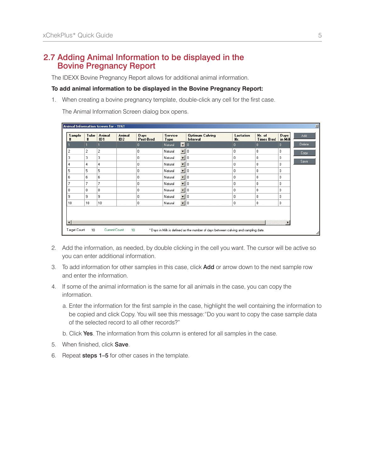### 2.7 Adding Animal Information to be displayed in the Bovine Pregnancy Report

The IDEXX Bovine Pregnancy Report allows for additional animal information.

#### **To add animal information to be displayed in the Bovine Pregnancy Report:**

1. When creating a bovine pregnancy template, double-click any cell for the first case.

The Animal Information Screen dialog box opens.

| $\times$<br><b>Animal Information Screen for - TEST</b>                                                                         |                  |                |               |                   |                        |                          |                                    |                         |                             |                 |        |
|---------------------------------------------------------------------------------------------------------------------------------|------------------|----------------|---------------|-------------------|------------------------|--------------------------|------------------------------------|-------------------------|-----------------------------|-----------------|--------|
| <b>Sample</b><br>$\pmb{\text{t}}$                                                                                               | Tube<br>$\sharp$ | Animal<br>ID1  | Animal<br>ID2 | Days<br>Post-Bred | Service<br><b>Type</b> |                          | <b>Optimum Calving</b><br>Interval | <b>Lactation</b><br>Nr. | Nr. of<br><b>Times Bred</b> | Days<br>in Mill | Add    |
|                                                                                                                                 |                  |                |               | o                 | Natural                | $\blacktriangledown$ 0   |                                    | o                       | $\mathbf{0}$                | ٥               | Delete |
| 2                                                                                                                               | $\overline{c}$   | $\overline{c}$ |               | 0                 | Natural                | $\mathbf{I}$ 0           |                                    | 0                       | $\theta$                    | 0               | Copy   |
| 3                                                                                                                               | 3                | 3              |               | 0                 | Natural                | $\blacktriangledown$     | 10                                 | 0                       | 0                           | 0               |        |
| 4                                                                                                                               | 4                | 4              |               | 0                 | Natural                | $\blacksquare$           | II o                               | 0                       | 0                           | 0               | Save   |
| 5                                                                                                                               | 5                | 5              |               | 0                 | Natural                | $\blacktriangledown$     | II o                               | 0                       | $\theta$                    | 0               |        |
| 6                                                                                                                               | 6                | 6              |               | 0                 | Natural                | $\overline{\phantom{a}}$ | ll o                               | $\theta$                | 0                           | 0               |        |
| 7                                                                                                                               | 7                | 7              |               | $\mathbf 0$       | Natural                | $\mathbf{r}$             | II o                               | 0                       | 0                           | 0               |        |
| 8                                                                                                                               | 8                | 8              |               | 0                 | Natural                | $\blacksquare$           | 10                                 | 0                       | 0                           | 0               |        |
| 9                                                                                                                               | 9                | 9              |               | 0                 | Natural                | $\overline{\phantom{a}}$ | II o                               | 0                       | 0                           | 0               |        |
| 10                                                                                                                              | 10               | 10             |               | $\overline{0}$    | Natural                | $\mathbf{v}$ 0           |                                    | 0                       | 0                           | 0               |        |
| $\blacktriangleleft$                                                                                                            |                  |                |               |                   |                        |                          |                                    |                         |                             |                 |        |
| Current Count<br>Target Count<br>10<br>10<br>* Days in Milk is defined as the number of days between calving and sampling date. |                  |                |               |                   |                        |                          |                                    |                         |                             |                 |        |

- 2. Add the information, as needed, by double clicking in the cell you want. The cursor will be active so you can enter additional information.
- 3. To add information for other samples in this case, click **Add** or arrow down to the next sample row and enter the information.
- 4. If some of the animal information is the same for all animals in the case, you can copy the information.
	- a. Enter the information for the first sample in the case, highlight the well containing the information to be copied and click Copy. You will see this message:"Do you want to copy the case sample data of the selected record to all other records?"
	- b. Click Yes. The information from this column is entered for all samples in the case.
- 5. When finished, click Save.
- 6. Repeat steps 1–5 for other cases in the template.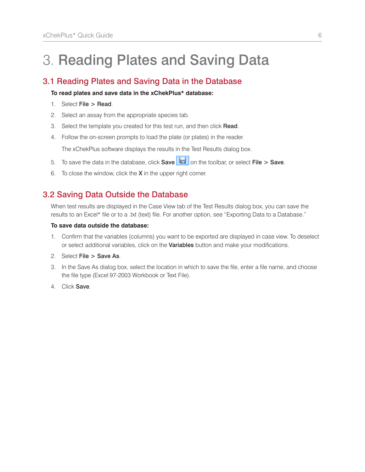# 3. Reading Plates and Saving Data

## 3.1 Reading Plates and Saving Data in the Database

#### **To read plates and save data in the xChekPlus\* database:**

- 1. Select File > Read.
- 2. Select an assay from the appropriate species tab.
- 3. Select the template you created for this test run, and then click Read.
- 4. Follow the on-screen prompts to load the plate (or plates) in the reader.

The xChekPlus software displays the results in the Test Results dialog box.

- 5. To save the data in the database, click **Save**  $\boxed{\Box}$  on the toolbar, or select File > Save.
- 6. To close the window, click the  $X$  in the upper right corner.

## 3.2 Saving Data Outside the Database

When test results are displayed in the Case View tab of the Test Results dialog box, you can save the results to an Excel\* file or to a .txt (text) file. For another option, see "Exporting Data to a Database."

#### **To save data outside the database:**

- 1. Confirm that the variables (columns) you want to be exported are displayed in case view. To deselect or select additional variables, click on the Variables button and make your modifications.
- 2. Select File > Save As.
- 3. In the Save As dialog box, select the location in which to save the file, enter a file name, and choose the file type (Excel 97-2003 Workbook or Text File).
- 4. Click Save.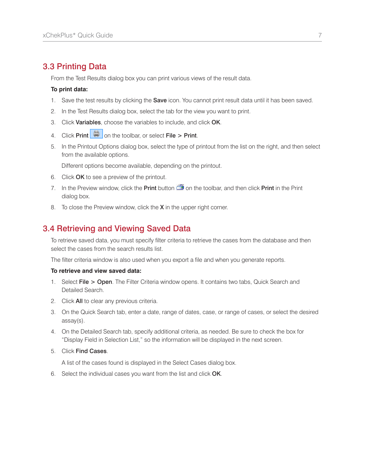### 3.3 Printing Data

From the Test Results dialog box you can print various views of the result data.

#### **To print data:**

- 1. Save the test results by clicking the **Save** icon. You cannot print result data until it has been saved.
- 2. In the Test Results dialog box, select the tab for the view you want to print.
- 3. Click Variables, choose the variables to include, and click OK.
- 4. Click Print  $\left|\frac{\mathbb{E}_{\mathbb{I}}}{\mathbb{I}_{\mathbb{I}}} \right|$  on the toolbar, or select File > Print.
- 5. In the Printout Options dialog box, select the type of printout from the list on the right, and then select from the available options.

Different options become available, depending on the printout.

- 6. Click OK to see a preview of the printout.
- 7. In the Preview window, click the **Print** button  $\mathbb{S}$  on the toolbar, and then click **Print** in the Print dialog box.
- 8. To close the Preview window, click the **X** in the upper right corner.

### 3.4 Retrieving and Viewing Saved Data

To retrieve saved data, you must specify filter criteria to retrieve the cases from the database and then select the cases from the search results list.

The filter criteria window is also used when you export a file and when you generate reports.

#### **To retrieve and view saved data:**

- 1. Select File > Open. The Filter Criteria window opens. It contains two tabs, Quick Search and Detailed Search.
- 2. Click All to clear any previous criteria.
- 3. On the Quick Search tab, enter a date, range of dates, case, or range of cases, or select the desired assay(s).
- 4. On the Detailed Search tab, specify additional criteria, as needed. Be sure to check the box for "Display Field in Selection List," so the information will be displayed in the next screen.
- 5. Click Find Cases.

A list of the cases found is displayed in the Select Cases dialog box.

6. Select the individual cases you want from the list and click OK.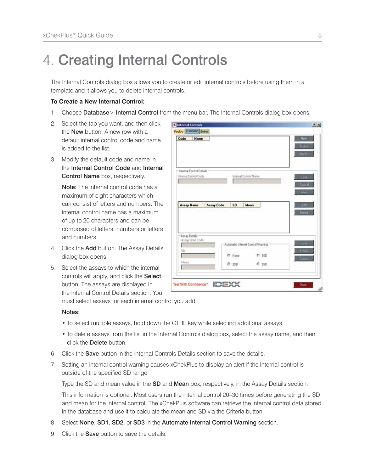# 4. Creating Internal Controls

The Internal Controls dialog box allows you to create or edit internal controls before using them in a template and it allows you to delete internal controls.

#### **To Create a New Internal Control:**

- 1. Choose Database > Internal Control from the menu bar. The Internal Controls dialog box opens.
- 2. Select the tab you want, and then click the **New** button. A new row with a default internal control code and name is added to the list.
- 3. Modify the default code and name in the Internal Control Code and Internal Control Name box, respectively.

Note: The internal control code has a maximum of eight characters which can consist of letters and numbers. The internal control name has a maximum of up to 20 characters and can be composed of letters, numbers or letters and numbers.

- 4. Click the Add button. The Assay Details dialog box opens.
- 5. Select the assays to which the internal controls will apply, and click the Select button. The assays are displayed in the Internal Control Details section. You

| Code<br><b>Name</b>                               |                   |                                                         |                       |       | New<br>Belas<br>Pontiac     |
|---------------------------------------------------|-------------------|---------------------------------------------------------|-----------------------|-------|-----------------------------|
| Internal Control Details<br>Internal Control Code |                   |                                                         | Internal Control Name |       | <b>Save</b><br><b>Cocol</b> |
| <b>Assay Name</b>                                 | <b>Assay Code</b> | SD                                                      | Mean                  |       | Siri.<br>Aus-<br>Dalera     |
| Aireau Details<br>Assay Short Code<br>SD.         |                   | Automatic Internal Control Warning<br><sup>C</sup> None |                       | C 15D | Saw <sub>1</sub><br>tire".  |
| Mean                                              |                   | $C$ 250                                                 |                       | 0.350 | <b>Cardel</b>               |

must select assays for each internal control you add.

#### Notes:

- To select multiple assays, hold down the CTRL key while selecting additional assays.
- To delete assays from the list in the Internal Controls dialog box, select the assay name, and then click the **Delete** button.
- 6. Click the Save button in the Internal Controls Details section to save the details.
- 7. Setting an internal control warning causes xChekPlus to display an alert if the internal control is outside of the specified SD range.

Type the SD and mean value in the SD and Mean box, respectively, in the Assay Details section.

This information is optional. Most users run the internal control 20–30 times before generating the SD and mean for the internal control. The xChekPlus software can retrieve the internal control data stored in the database and use it to calculate the mean and SD via the Criteria button.

- 8. Select None, SD1, SD2, or SD3 in the Automate Internal Control Warning section.
- 9. Click the **Save** button to save the details.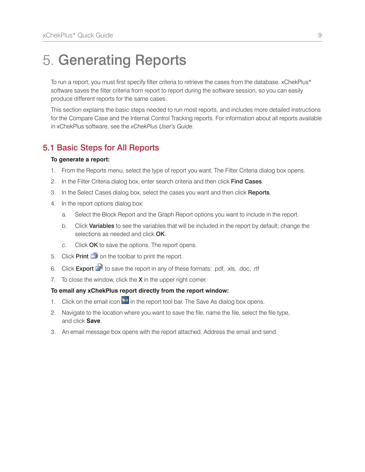## 5. Generating Reports

To run a report, you must first specify filter criteria to retrieve the cases from the database. xChekPlus\* software saves the filter criteria from report to report during the software session, so you can easily produce different reports for the same cases.

This section explains the basic steps needed to run most reports, and includes more detailed instructions for the Compare Case and the Internal Control Tracking reports. For information about all reports available in xChekPlus software, see the *xChekPlus User's Guide*.

## 5.1 Basic Steps for All Reports

#### **To generate a report:**

- 1. From the Reports menu, select the type of report you want. The Filter Criteria dialog box opens.
- 2. In the Filter Criteria dialog box, enter search criteria and then click Find Cases.
- 3. In the Select Cases dialog box, select the cases you want and then click Reports.
- 4. In the report options dialog box:
	- a. Select the Block Report and the Graph Report options you want to include in the report.
	- b. Click Variables to see the variables that will be included in the report by default; change the selections as needed and click OK.
	- c. Click OK to save the options. The report opens.
- 5. Click Print  $\tilde{\mathbf{I}}$  on the toolbar to print the report.
- 6. Click Export  $\mathbb{R}^n$  to save the report in any of these formats: .pdf, .xls, .doc, .rtf
- 7. To close the window, click the  $X$  in the upper right corner.

#### **To email any xChekPlus report directly from the report window:**

- 1. Click on the email icon  $\blacksquare$  in the report tool bar. The Save As dialog box opens.
- 2. Navigate to the location where you want to save the file, name the file, select the file type, and click **Save**.
- 3. An email message box opens with the report attached. Address the email and send.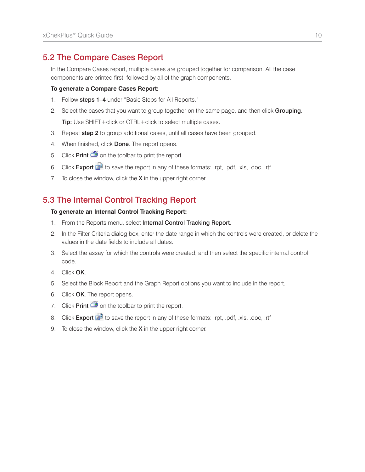## 5.2 The Compare Cases Report

In the Compare Cases report, multiple cases are grouped together for comparison. All the case components are printed first, followed by all of the graph components.

#### **To generate a Compare Cases Report:**

- 1. Follow steps 1-4 under "Basic Steps for All Reports."
- 2. Select the cases that you want to group together on the same page, and then click Grouping. Tip: Use SHIFT+click or CTRL+click to select multiple cases.
- 3. Repeat step 2 to group additional cases, until all cases have been grouped.
- 4. When finished, click Done. The report opens.
- 5. Click **Print**  $\mathbf{S}$  on the toolbar to print the report.
- 6. Click Export  $\mathbb{R}^n$  to save the report in any of these formats: .rpt, .pdf, .xls, .doc, .rtf
- 7. To close the window, click the  $X$  in the upper right corner.

## 5.3 The Internal Control Tracking Report

#### **To generate an Internal Control Tracking Report:**

- 1. From the Reports menu, select Internal Control Tracking Report.
- 2. In the Filter Criteria dialog box, enter the date range in which the controls were created, or delete the values in the date fields to include all dates.
- 3. Select the assay for which the controls were created, and then select the specific internal control code.
- 4. Click OK.
- 5. Select the Block Report and the Graph Report options you want to include in the report.
- 6. Click OK. The report opens.
- 7. Click Print  $\ddot{=}$  on the toolbar to print the report.
- 8. Click Export  $\mathbb{R}^n$  to save the report in any of these formats: .rpt, .pdf, .xls, .doc, .rtf
- 9. To close the window, click the  $X$  in the upper right corner.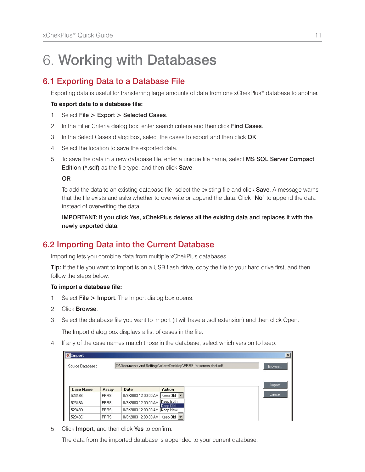# 6. Working with Databases

## 6.1 Exporting Data to a Database File

Exporting data is useful for transferring large amounts of data from one xChekPlus\* database to another.

#### **To export data to a database file:**

- 1. Select File > Export > Selected Cases.
- 2. In the Filter Criteria dialog box, enter search criteria and then click Find Cases.
- 3. In the Select Cases dialog box, select the cases to export and then click OK.
- 4. Select the location to save the exported data.
- 5. To save the data in a new database file, enter a unique file name, select MS SQL Server Compact Edition (\*.sdf) as the file type, and then click Save.

OR

To add the data to an existing database file, select the existing file and click Save. A message warns that the file exists and asks whether to overwrite or append the data. Click "**No**" to append the data instead of overwriting the data.

 IMPORTANT: If you click Yes, xChekPlus deletes all the existing data and replaces it with the newly exported data.

## 6.2 Importing Data into the Current Database

Importing lets you combine data from multiple xChekPlus databases.

**Tip:** If the file you want to import is on a USB flash drive, copy the file to your hard drive first, and then follow the steps below.

#### **To import a database file:**

- 1. Select File > Import. The Import dialog box opens.
- 2. Click Browse.
- 3. Select the database file you want to import (it will have a .sdf extension) and then click Open.

The Import dialog box displays a list of cases in the file.

4. If any of the case names match those in the database, select which version to keep.

| <b>X</b> Import  |             |                                                                  |                       | $\vert x \vert$ |
|------------------|-------------|------------------------------------------------------------------|-----------------------|-----------------|
| Source Database: |             | C:\Documents and Settings\ckerr\Desktop\PRRS for screen shot.sdf |                       | Browse          |
| <b>Case Name</b> | Assay       | <b>Date</b>                                                      | <b>Action</b>         | Import          |
| 52348B           | <b>PRRS</b> | 8/8/2003 12:00:00 AM                                             | Keep Old              | Cancel,         |
| 52348A           | <b>PRRS</b> | 8/8/2003 12:00:00 AM                                             | Keep Both<br>Keep Old |                 |
| 52348D           | PRRS        | 8/8/2003 12:00:00 AM Keep New                                    |                       |                 |
| 52348C           | <b>PRRS</b> | 8/8/2003 12:00:00 AM                                             | Keep Old ▼            |                 |

5. Click Import, and then click Yes to confirm.

The data from the imported database is appended to your current database.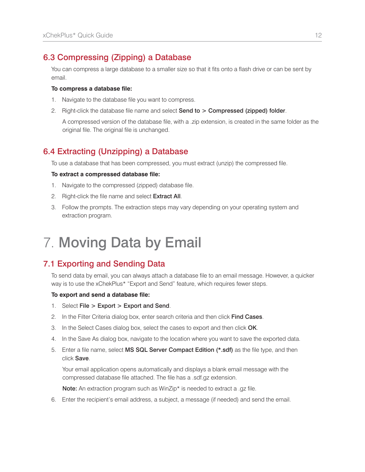## 6.3 Compressing (Zipping) a Database

You can compress a large database to a smaller size so that it fits onto a flash drive or can be sent by email.

#### **To compress a database file:**

- 1. Navigate to the database file you want to compress.
- 2. Right-click the database file name and select Send to > Compressed (zipped) folder.

 A compressed version of the database file, with a .zip extension, is created in the same folder as the original file. The original file is unchanged.

## 6.4 Extracting (Unzipping) a Database

To use a database that has been compressed, you must extract (unzip) the compressed file.

#### **To extract a compressed database file:**

- 1. Navigate to the compressed (zipped) database file.
- 2. Right-click the file name and select Extract All.
- 3. Follow the prompts. The extraction steps may vary depending on your operating system and extraction program.

# 7. Moving Data by Email

## 7.1 Exporting and Sending Data

To send data by email, you can always attach a database file to an email message. However, a quicker way is to use the xChekPlus\* "Export and Send" feature, which requires fewer steps.

#### **To export and send a database file:**

- 1. Select File > Export > Export and Send.
- 2. In the Filter Criteria dialog box, enter search criteria and then click Find Cases.
- 3. In the Select Cases dialog box, select the cases to export and then click OK.
- 4. In the Save As dialog box, navigate to the location where you want to save the exported data.
- 5. Enter a file name, select MS SQL Server Compact Edition (\*.sdf) as the file type, and then click Save.

 Your email application opens automatically and displays a blank email message with the compressed database file attached. The file has a .sdf.gz extension.

Note: An extraction program such as WinZip\* is needed to extract a .gz file.

6. Enter the recipient's email address, a subject, a message (if needed) and send the email.